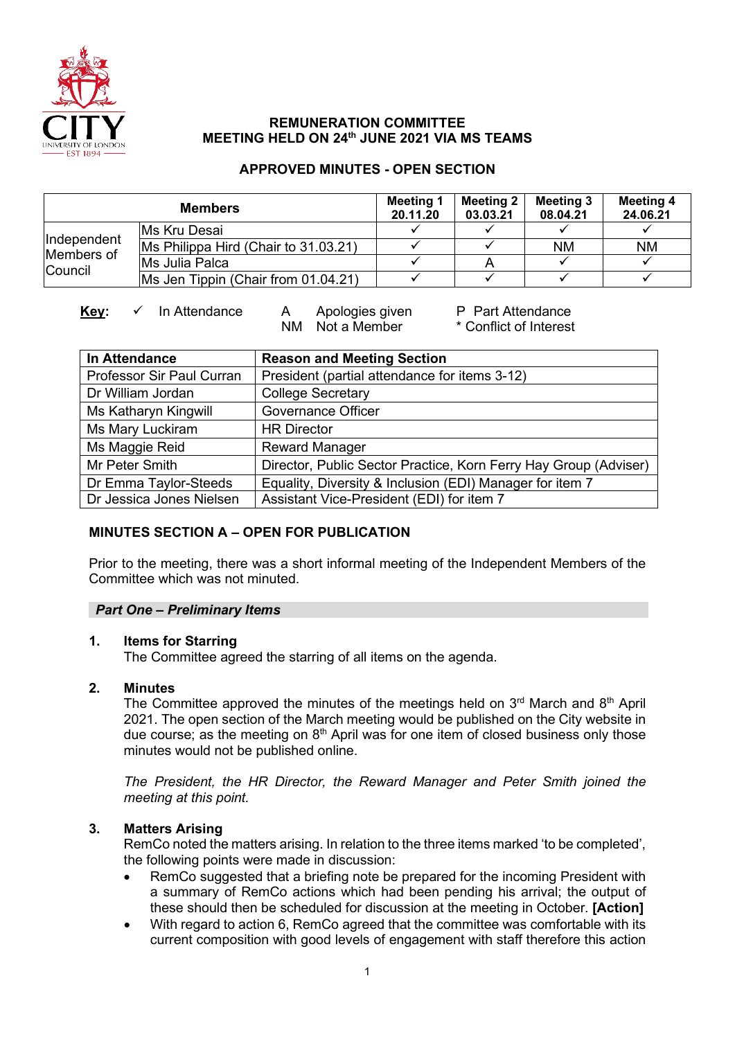

### **REMUNERATION COMMITTEE MEETING HELD ON 24th JUNE 2021 VIA MS TEAMS**

### **APPROVED MINUTES - OPEN SECTION**

| <b>Members</b>                              |                                      | Meeting 1<br>20.11.20 | <b>Meeting 2</b><br>03.03.21 | Meeting 3<br>08.04.21 | <b>Meeting 4</b><br>24.06.21 |
|---------------------------------------------|--------------------------------------|-----------------------|------------------------------|-----------------------|------------------------------|
| Independent<br>Members of<br><b>Council</b> | IMs Kru Desai                        |                       |                              |                       |                              |
|                                             | Ms Philippa Hird (Chair to 31.03.21) |                       |                              | <b>NM</b>             | <b>NM</b>                    |
|                                             | Ms Julia Palca                       |                       |                              |                       |                              |
|                                             | Ms Jen Tippin (Chair from 01.04.21)  |                       |                              |                       |                              |

NM Not a Member

**Key:** ✓ In Attendance A Apologies given P Part Attendance<br>NM Not a Member \* Conflict of Interest

| In Attendance             | <b>Reason and Meeting Section</b>                                |  |  |  |
|---------------------------|------------------------------------------------------------------|--|--|--|
| Professor Sir Paul Curran | President (partial attendance for items 3-12)                    |  |  |  |
| Dr William Jordan         | <b>College Secretary</b>                                         |  |  |  |
| Ms Katharyn Kingwill      | <b>Governance Officer</b>                                        |  |  |  |
| Ms Mary Luckiram          | <b>HR Director</b>                                               |  |  |  |
| Ms Maggie Reid            | <b>Reward Manager</b>                                            |  |  |  |
| Mr Peter Smith            | Director, Public Sector Practice, Korn Ferry Hay Group (Adviser) |  |  |  |
| Dr Emma Taylor-Steeds     | Equality, Diversity & Inclusion (EDI) Manager for item 7         |  |  |  |
| Dr Jessica Jones Nielsen  | Assistant Vice-President (EDI) for item 7                        |  |  |  |

# **MINUTES SECTION A – OPEN FOR PUBLICATION**

Prior to the meeting, there was a short informal meeting of the Independent Members of the Committee which was not minuted.

# *Part One – Preliminary Items*

### **1. Items for Starring**

The Committee agreed the starring of all items on the agenda.

### **2. Minutes**

The Committee approved the minutes of the meetings held on  $3<sup>rd</sup>$  March and  $8<sup>th</sup>$  April 2021. The open section of the March meeting would be published on the City website in due course; as the meeting on  $8<sup>th</sup>$  April was for one item of closed business only those minutes would not be published online.

*The President, the HR Director, the Reward Manager and Peter Smith joined the meeting at this point.* 

# **3. Matters Arising**

RemCo noted the matters arising. In relation to the three items marked 'to be completed', the following points were made in discussion:

- RemCo suggested that a briefing note be prepared for the incoming President with a summary of RemCo actions which had been pending his arrival; the output of these should then be scheduled for discussion at the meeting in October. **[Action]**
- With regard to action 6, RemCo agreed that the committee was comfortable with its current composition with good levels of engagement with staff therefore this action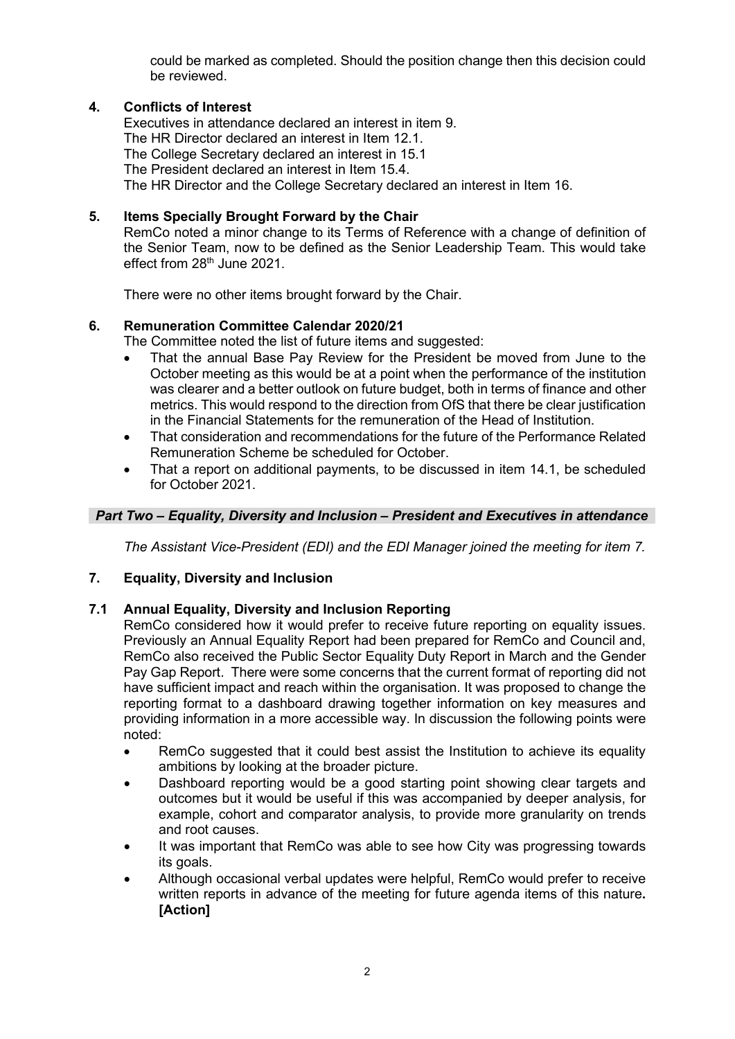could be marked as completed. Should the position change then this decision could be reviewed.

### **4. Conflicts of Interest**

Executives in attendance declared an interest in item 9. The HR Director declared an interest in Item 12.1. The College Secretary declared an interest in 15.1 The President declared an interest in Item 15.4. The HR Director and the College Secretary declared an interest in Item 16.

### **5. Items Specially Brought Forward by the Chair**

RemCo noted a minor change to its Terms of Reference with a change of definition of the Senior Team, now to be defined as the Senior Leadership Team. This would take effect from 28<sup>th</sup> June 2021.

There were no other items brought forward by the Chair.

### **6. Remuneration Committee Calendar 2020/21**

- The Committee noted the list of future items and suggested:
- That the annual Base Pay Review for the President be moved from June to the October meeting as this would be at a point when the performance of the institution was clearer and a better outlook on future budget, both in terms of finance and other metrics. This would respond to the direction from OfS that there be clear justification in the Financial Statements for the remuneration of the Head of Institution.
- That consideration and recommendations for the future of the Performance Related Remuneration Scheme be scheduled for October.
- That a report on additional payments, to be discussed in item 14.1, be scheduled for October 2021.

### *Part Two – Equality, Diversity and Inclusion – President and Executives in attendance*

*The Assistant Vice-President (EDI) and the EDI Manager joined the meeting for item 7.* 

### **7. Equality, Diversity and Inclusion**

### **7.1 Annual Equality, Diversity and Inclusion Reporting**

RemCo considered how it would prefer to receive future reporting on equality issues. Previously an Annual Equality Report had been prepared for RemCo and Council and, RemCo also received the Public Sector Equality Duty Report in March and the Gender Pay Gap Report. There were some concerns that the current format of reporting did not have sufficient impact and reach within the organisation. It was proposed to change the reporting format to a dashboard drawing together information on key measures and providing information in a more accessible way. In discussion the following points were noted:

- RemCo suggested that it could best assist the Institution to achieve its equality ambitions by looking at the broader picture.
- Dashboard reporting would be a good starting point showing clear targets and outcomes but it would be useful if this was accompanied by deeper analysis, for example, cohort and comparator analysis, to provide more granularity on trends and root causes.
- It was important that RemCo was able to see how City was progressing towards its goals.
- Although occasional verbal updates were helpful, RemCo would prefer to receive written reports in advance of the meeting for future agenda items of this nature**. [Action]**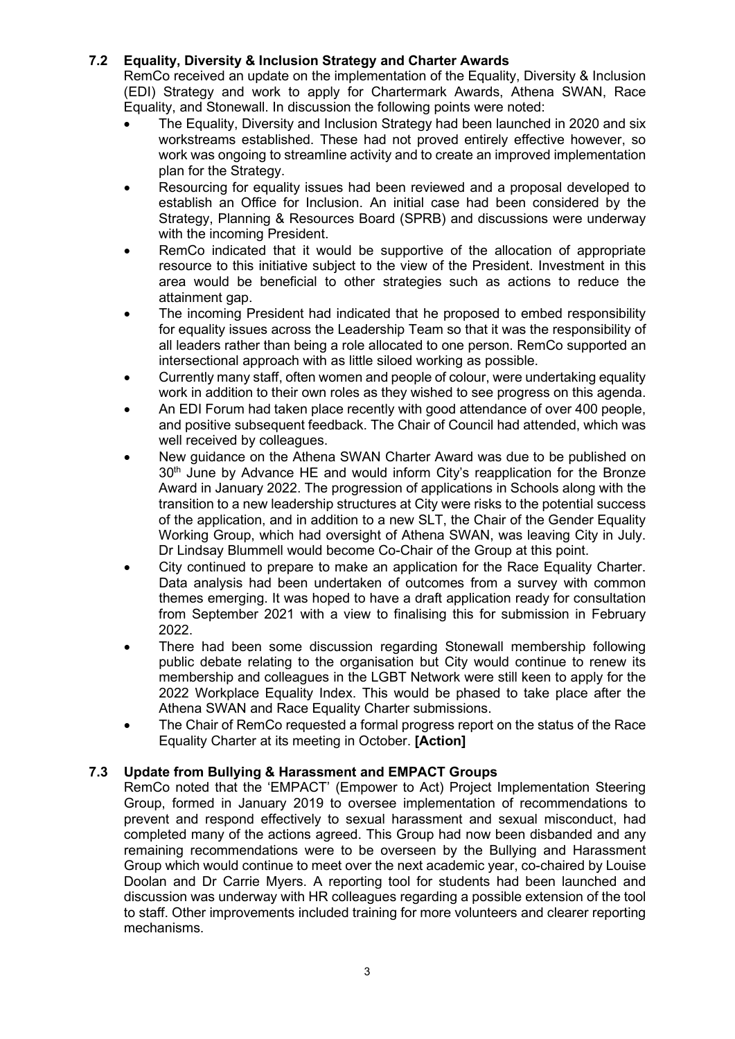# **7.2 Equality, Diversity & Inclusion Strategy and Charter Awards**

RemCo received an update on the implementation of the Equality, Diversity & Inclusion (EDI) Strategy and work to apply for Chartermark Awards, Athena SWAN, Race Equality, and Stonewall. In discussion the following points were noted:

- The Equality, Diversity and Inclusion Strategy had been launched in 2020 and six workstreams established. These had not proved entirely effective however, so work was ongoing to streamline activity and to create an improved implementation plan for the Strategy.
- Resourcing for equality issues had been reviewed and a proposal developed to establish an Office for Inclusion. An initial case had been considered by the Strategy, Planning & Resources Board (SPRB) and discussions were underway with the incoming President.
- RemCo indicated that it would be supportive of the allocation of appropriate resource to this initiative subject to the view of the President. Investment in this area would be beneficial to other strategies such as actions to reduce the attainment gap.
- The incoming President had indicated that he proposed to embed responsibility for equality issues across the Leadership Team so that it was the responsibility of all leaders rather than being a role allocated to one person. RemCo supported an intersectional approach with as little siloed working as possible.
- Currently many staff, often women and people of colour, were undertaking equality work in addition to their own roles as they wished to see progress on this agenda.
- An EDI Forum had taken place recently with good attendance of over 400 people, and positive subsequent feedback. The Chair of Council had attended, which was well received by colleagues.
- New guidance on the Athena SWAN Charter Award was due to be published on  $30<sup>th</sup>$  June by Advance HE and would inform City's reapplication for the Bronze Award in January 2022. The progression of applications in Schools along with the transition to a new leadership structures at City were risks to the potential success of the application, and in addition to a new SLT, the Chair of the Gender Equality Working Group, which had oversight of Athena SWAN, was leaving City in July. Dr Lindsay Blummell would become Co-Chair of the Group at this point.
- City continued to prepare to make an application for the Race Equality Charter. Data analysis had been undertaken of outcomes from a survey with common themes emerging. It was hoped to have a draft application ready for consultation from September 2021 with a view to finalising this for submission in February 2022.
- There had been some discussion regarding Stonewall membership following public debate relating to the organisation but City would continue to renew its membership and colleagues in the LGBT Network were still keen to apply for the 2022 Workplace Equality Index. This would be phased to take place after the Athena SWAN and Race Equality Charter submissions.
- The Chair of RemCo requested a formal progress report on the status of the Race Equality Charter at its meeting in October. **[Action]**

### **7.3 Update from Bullying & Harassment and EMPACT Groups**

RemCo noted that the 'EMPACT' (Empower to Act) Project Implementation Steering Group, formed in January 2019 to oversee implementation of recommendations to prevent and respond effectively to sexual harassment and sexual misconduct, had completed many of the actions agreed. This Group had now been disbanded and any remaining recommendations were to be overseen by the Bullying and Harassment Group which would continue to meet over the next academic year, co-chaired by Louise Doolan and Dr Carrie Myers. A reporting tool for students had been launched and discussion was underway with HR colleagues regarding a possible extension of the tool to staff. Other improvements included training for more volunteers and clearer reporting mechanisms.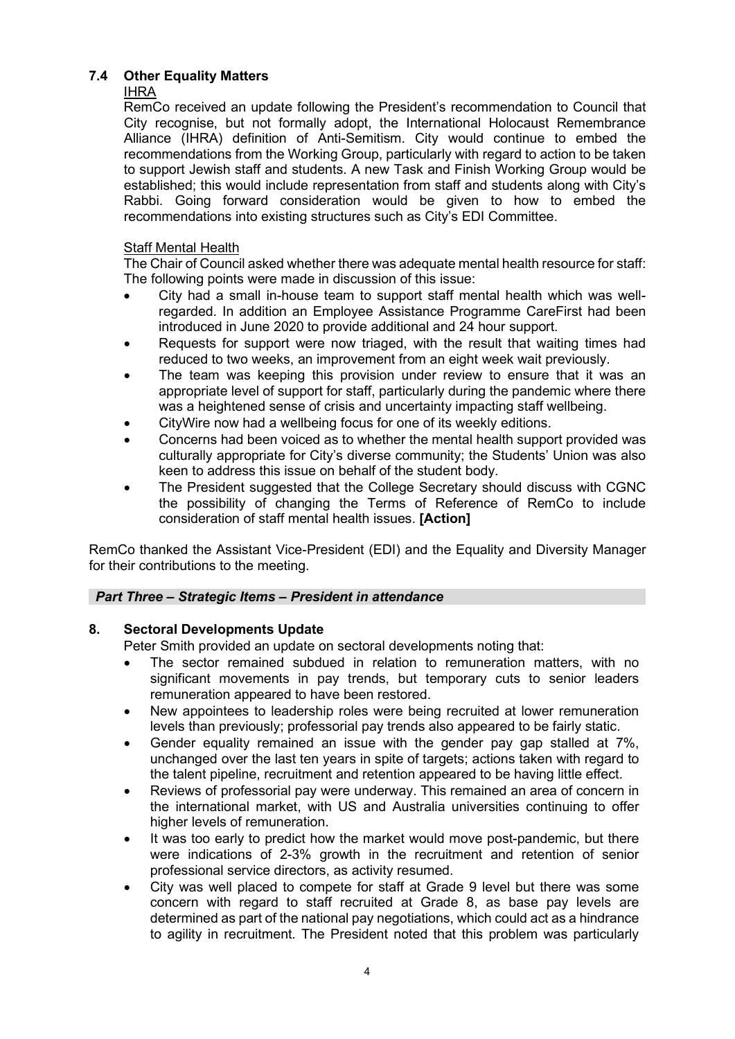# **7.4 Other Equality Matters**

# IHRA

RemCo received an update following the President's recommendation to Council that City recognise, but not formally adopt, the International Holocaust Remembrance Alliance (IHRA) definition of Anti-Semitism. City would continue to embed the recommendations from the Working Group, particularly with regard to action to be taken to support Jewish staff and students. A new Task and Finish Working Group would be established; this would include representation from staff and students along with City's Rabbi. Going forward consideration would be given to how to embed the recommendations into existing structures such as City's EDI Committee.

# Staff Mental Health

The Chair of Council asked whether there was adequate mental health resource for staff: The following points were made in discussion of this issue:

- City had a small in-house team to support staff mental health which was wellregarded. In addition an Employee Assistance Programme CareFirst had been introduced in June 2020 to provide additional and 24 hour support.
- Requests for support were now triaged, with the result that waiting times had reduced to two weeks, an improvement from an eight week wait previously.
- The team was keeping this provision under review to ensure that it was an appropriate level of support for staff, particularly during the pandemic where there was a heightened sense of crisis and uncertainty impacting staff wellbeing.
- CityWire now had a wellbeing focus for one of its weekly editions.
- Concerns had been voiced as to whether the mental health support provided was culturally appropriate for City's diverse community; the Students' Union was also keen to address this issue on behalf of the student body.
- The President suggested that the College Secretary should discuss with CGNC the possibility of changing the Terms of Reference of RemCo to include consideration of staff mental health issues. **[Action]**

RemCo thanked the Assistant Vice-President (EDI) and the Equality and Diversity Manager for their contributions to the meeting.

# *Part Three – Strategic Items – President in attendance*

# **8. Sectoral Developments Update**

Peter Smith provided an update on sectoral developments noting that:

- The sector remained subdued in relation to remuneration matters, with no significant movements in pay trends, but temporary cuts to senior leaders remuneration appeared to have been restored.
- New appointees to leadership roles were being recruited at lower remuneration levels than previously; professorial pay trends also appeared to be fairly static.
- Gender equality remained an issue with the gender pay gap stalled at 7%, unchanged over the last ten years in spite of targets; actions taken with regard to the talent pipeline, recruitment and retention appeared to be having little effect.
- Reviews of professorial pay were underway. This remained an area of concern in the international market, with US and Australia universities continuing to offer higher levels of remuneration.
- It was too early to predict how the market would move post-pandemic, but there were indications of 2-3% growth in the recruitment and retention of senior professional service directors, as activity resumed.
- City was well placed to compete for staff at Grade 9 level but there was some concern with regard to staff recruited at Grade 8, as base pay levels are determined as part of the national pay negotiations, which could act as a hindrance to agility in recruitment. The President noted that this problem was particularly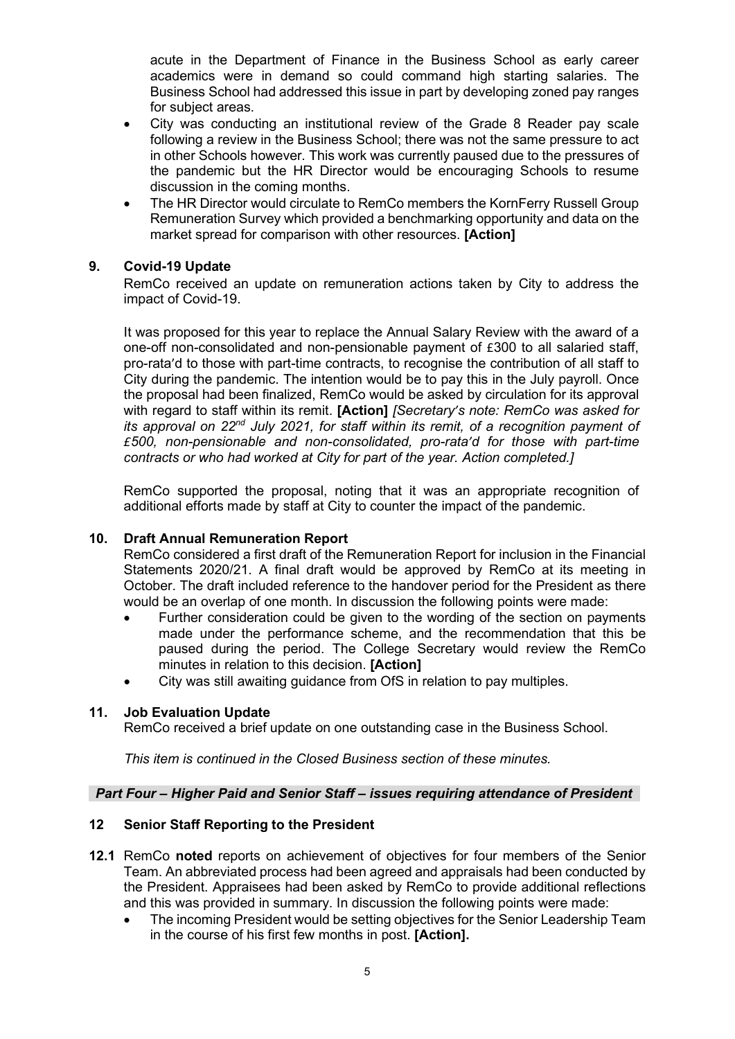acute in the Department of Finance in the Business School as early career academics were in demand so could command high starting salaries. The Business School had addressed this issue in part by developing zoned pay ranges for subject areas.

- City was conducting an institutional review of the Grade 8 Reader pay scale following a review in the Business School; there was not the same pressure to act in other Schools however. This work was currently paused due to the pressures of the pandemic but the HR Director would be encouraging Schools to resume discussion in the coming months.
- The HR Director would circulate to RemCo members the KornFerry Russell Group Remuneration Survey which provided a benchmarking opportunity and data on the market spread for comparison with other resources. **[Action]**

### **9. Covid-19 Update**

RemCo received an update on remuneration actions taken by City to address the impact of Covid-19.

It was proposed for this year to replace the Annual Salary Review with the award of a one-off non-consolidated and non-pensionable payment of £300 to all salaried staff, pro-rata'd to those with part-time contracts, to recognise the contribution of all staff to City during the pandemic. The intention would be to pay this in the July payroll. Once the proposal had been finalized, RemCo would be asked by circulation for its approval with regard to staff within its remit. **[Action]** *[Secretary's note: RemCo was asked for its approval on 22nd July 2021, for staff within its remit, of a recognition payment of £500, non-pensionable and non-consolidated, pro-rata'd for those with part-time contracts or who had worked at City for part of the year. Action completed.]* 

RemCo supported the proposal, noting that it was an appropriate recognition of additional efforts made by staff at City to counter the impact of the pandemic.

### **10. Draft Annual Remuneration Report**

RemCo considered a first draft of the Remuneration Report for inclusion in the Financial Statements 2020/21. A final draft would be approved by RemCo at its meeting in October. The draft included reference to the handover period for the President as there would be an overlap of one month. In discussion the following points were made:

- Further consideration could be given to the wording of the section on payments made under the performance scheme, and the recommendation that this be paused during the period. The College Secretary would review the RemCo minutes in relation to this decision. **[Action]**
- City was still awaiting guidance from OfS in relation to pay multiples.

### **11. Job Evaluation Update**

RemCo received a brief update on one outstanding case in the Business School.

*This item is continued in the Closed Business section of these minutes.* 

### *Part Four – Higher Paid and Senior Staff – issues requiring attendance of President*

### **12 Senior Staff Reporting to the President**

- **12.1** RemCo **noted** reports on achievement of objectives for four members of the Senior Team. An abbreviated process had been agreed and appraisals had been conducted by the President. Appraisees had been asked by RemCo to provide additional reflections and this was provided in summary. In discussion the following points were made:
	- The incoming President would be setting objectives for the Senior Leadership Team in the course of his first few months in post. **[Action].**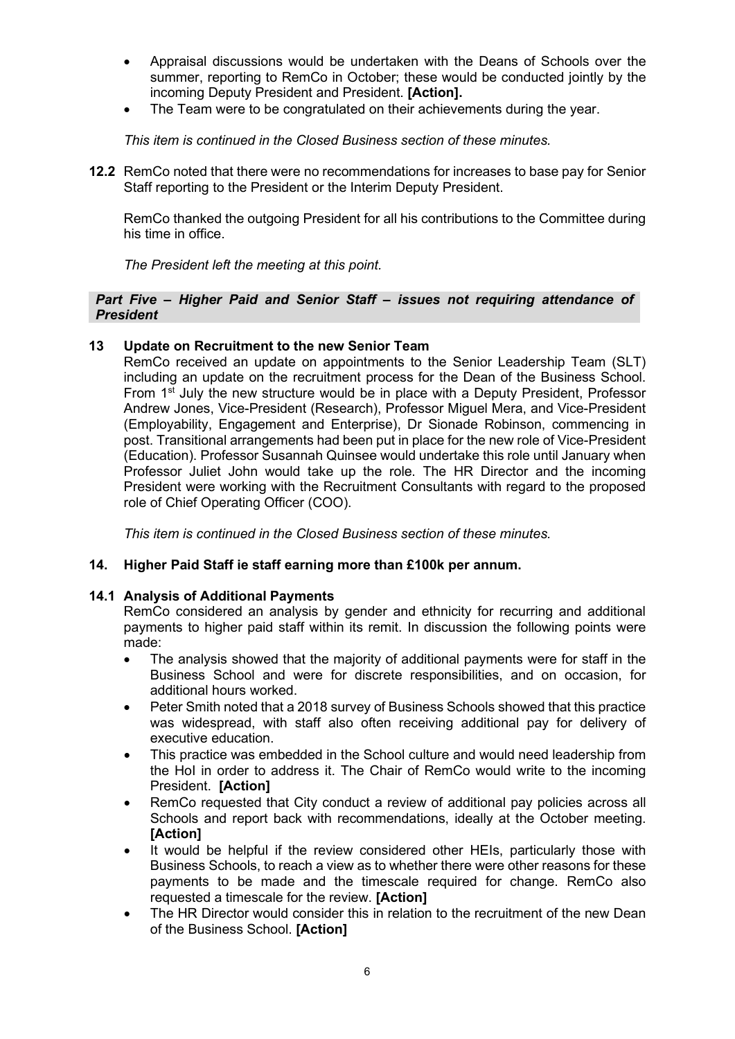- Appraisal discussions would be undertaken with the Deans of Schools over the summer, reporting to RemCo in October; these would be conducted jointly by the incoming Deputy President and President. **[Action].**
- The Team were to be congratulated on their achievements during the year.

*This item is continued in the Closed Business section of these minutes.*

**12.2** RemCo noted that there were no recommendations for increases to base pay for Senior Staff reporting to the President or the Interim Deputy President.

RemCo thanked the outgoing President for all his contributions to the Committee during his time in office.

*The President left the meeting at this point.* 

#### *Part Five – Higher Paid and Senior Staff – issues not requiring attendance of President*

### **13 Update on Recruitment to the new Senior Team**

RemCo received an update on appointments to the Senior Leadership Team (SLT) including an update on the recruitment process for the Dean of the Business School. From 1st July the new structure would be in place with a Deputy President, Professor Andrew Jones, Vice-President (Research), Professor Miguel Mera, and Vice-President (Employability, Engagement and Enterprise), Dr Sionade Robinson, commencing in post. Transitional arrangements had been put in place for the new role of Vice-President (Education). Professor Susannah Quinsee would undertake this role until January when Professor Juliet John would take up the role. The HR Director and the incoming President were working with the Recruitment Consultants with regard to the proposed role of Chief Operating Officer (COO).

*This item is continued in the Closed Business section of these minutes.*

### **14. Higher Paid Staff ie staff earning more than £100k per annum.**

#### **14.1 Analysis of Additional Payments**

RemCo considered an analysis by gender and ethnicity for recurring and additional payments to higher paid staff within its remit. In discussion the following points were made:

- The analysis showed that the majority of additional payments were for staff in the Business School and were for discrete responsibilities, and on occasion, for additional hours worked.
- Peter Smith noted that a 2018 survey of Business Schools showed that this practice was widespread, with staff also often receiving additional pay for delivery of executive education.
- This practice was embedded in the School culture and would need leadership from the HoI in order to address it. The Chair of RemCo would write to the incoming President. **[Action]**
- RemCo requested that City conduct a review of additional pay policies across all Schools and report back with recommendations, ideally at the October meeting. **[Action]**
- It would be helpful if the review considered other HEIs, particularly those with Business Schools, to reach a view as to whether there were other reasons for these payments to be made and the timescale required for change. RemCo also requested a timescale for the review. **[Action]**
- The HR Director would consider this in relation to the recruitment of the new Dean of the Business School. **[Action]**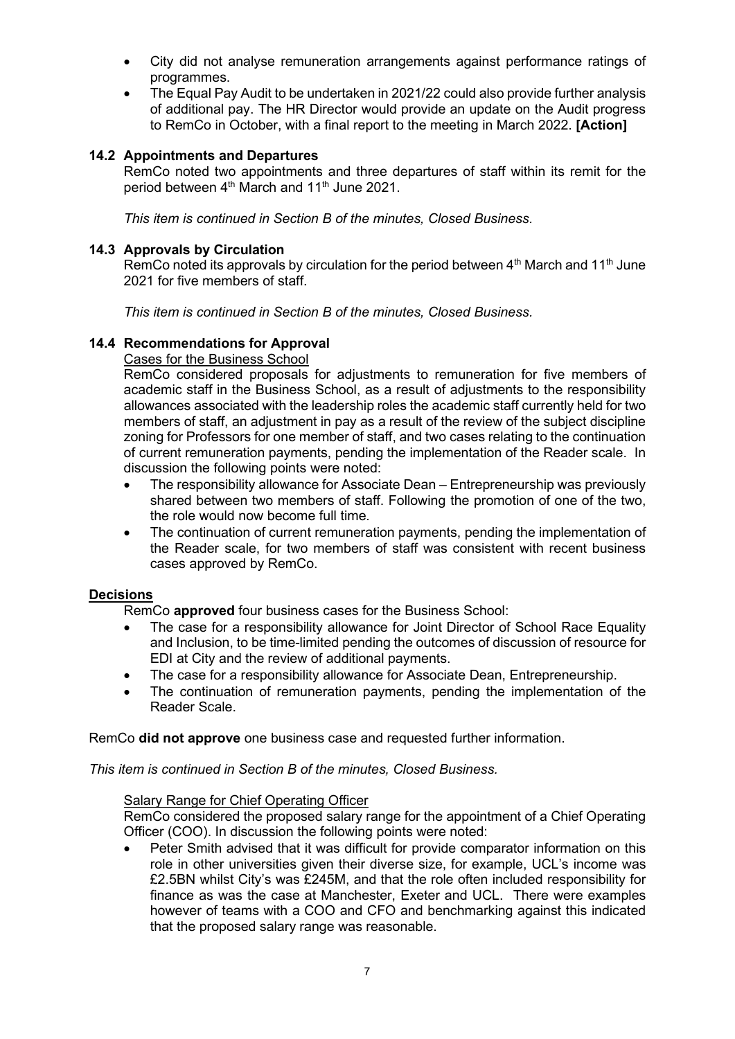- City did not analyse remuneration arrangements against performance ratings of programmes.
- The Equal Pay Audit to be undertaken in 2021/22 could also provide further analysis of additional pay. The HR Director would provide an update on the Audit progress to RemCo in October, with a final report to the meeting in March 2022. **[Action]**

### **14.2 Appointments and Departures**

RemCo noted two appointments and three departures of staff within its remit for the period between 4<sup>th</sup> March and 11<sup>th</sup> June 2021.

*This item is continued in Section B of the minutes, Closed Business.* 

### **14.3 Approvals by Circulation**

RemCo noted its approvals by circulation for the period between  $4<sup>th</sup>$  March and 11<sup>th</sup> June 2021 for five members of staff.

*This item is continued in Section B of the minutes, Closed Business.* 

### **14.4 Recommendations for Approval**

Cases for the Business School

RemCo considered proposals for adjustments to remuneration for five members of academic staff in the Business School, as a result of adjustments to the responsibility allowances associated with the leadership roles the academic staff currently held for two members of staff, an adjustment in pay as a result of the review of the subject discipline zoning for Professors for one member of staff, and two cases relating to the continuation of current remuneration payments, pending the implementation of the Reader scale. In discussion the following points were noted:

- The responsibility allowance for Associate Dean Entrepreneurship was previously shared between two members of staff. Following the promotion of one of the two, the role would now become full time.
- The continuation of current remuneration payments, pending the implementation of the Reader scale, for two members of staff was consistent with recent business cases approved by RemCo.

### **Decisions**

RemCo **approved** four business cases for the Business School:

- The case for a responsibility allowance for Joint Director of School Race Equality and Inclusion, to be time-limited pending the outcomes of discussion of resource for EDI at City and the review of additional payments.
- The case for a responsibility allowance for Associate Dean, Entrepreneurship.
- The continuation of remuneration payments, pending the implementation of the Reader Scale.

RemCo **did not approve** one business case and requested further information.

*This item is continued in Section B of the minutes, Closed Business.*

#### Salary Range for Chief Operating Officer

RemCo considered the proposed salary range for the appointment of a Chief Operating Officer (COO). In discussion the following points were noted:

• Peter Smith advised that it was difficult for provide comparator information on this role in other universities given their diverse size, for example, UCL's income was £2.5BN whilst City's was £245M, and that the role often included responsibility for finance as was the case at Manchester, Exeter and UCL. There were examples however of teams with a COO and CFO and benchmarking against this indicated that the proposed salary range was reasonable.